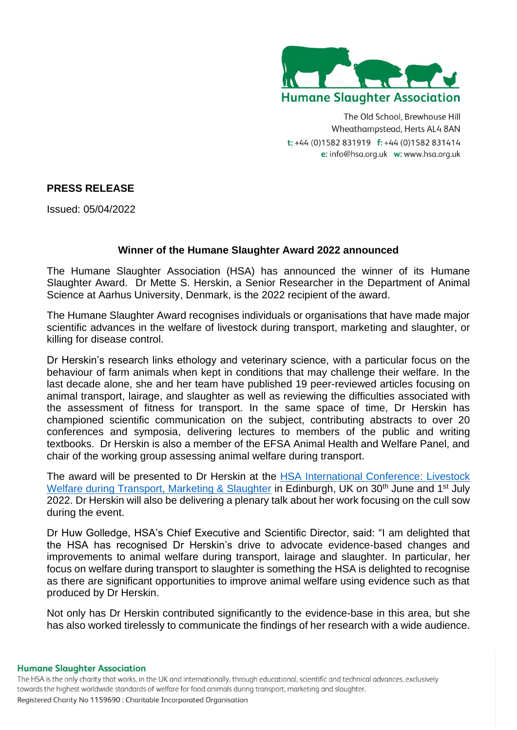

The Old School, Brewhouse Hill Wheathampstead, Herts AL4 8AN t: +44 (0)1582 831919 f: +44 (0)1582 831414 e: info@hsa.org.uk w: www.hsa.org.uk

# **PRESS RELEASE**

Issued: 05/04/2022

# **Winner of the Humane Slaughter Award 2022 announced**

The Humane Slaughter Association (HSA) has announced the winner of its Humane Slaughter Award. Dr Mette S. Herskin, a Senior Researcher in the Department of Animal Science at Aarhus University, Denmark, is the 2022 recipient of the award.

The Humane Slaughter Award recognises individuals or organisations that have made major scientific advances in the welfare of livestock during transport, marketing and slaughter, or killing for disease control.

Dr Herskin's research links ethology and veterinary science, with a particular focus on the behaviour of farm animals when kept in conditions that may challenge their welfare. In the last decade alone, she and her team have published 19 peer-reviewed articles focusing on animal transport, lairage, and slaughter as well as reviewing the difficulties associated with the assessment of fitness for transport. In the same space of time, Dr Herskin has championed scientific communication on the subject, contributing abstracts to over 20 conferences and symposia, delivering lectures to members of the public and writing textbooks. Dr Herskin is also a member of the EFSA Animal Health and Welfare Panel, and chair of the working group assessing animal welfare during transport.

The award will be presented to Dr Herskin at the [HSA International Conference: Livestock](https://www.hsa.org.uk/news-events/hsa-conference-2022)  [Welfare during Transport, Marketing & Slaughter](https://www.hsa.org.uk/news-events/hsa-conference-2022) in Edinburgh, UK on 30<sup>th</sup> June and 1<sup>st</sup> July 2022. Dr Herskin will also be delivering a plenary talk about her work focusing on the cull sow during the event.

Dr Huw Golledge, HSA's Chief Executive and Scientific Director, said: "I am delighted that the HSA has recognised Dr Herskin's drive to advocate evidence-based changes and improvements to animal welfare during transport, lairage and slaughter. In particular, her focus on welfare during transport to slaughter is something the HSA is delighted to recognise as there are significant opportunities to improve animal welfare using evidence such as that produced by Dr Herskin.

Not only has Dr Herskin contributed significantly to the evidence-base in this area, but she has also worked tirelessly to communicate the findings of her research with a wide audience.

### **Humane Slaughter Association**

The HSA is the only charity that works, in the UK and internationally, through educational, scientific and technical advances, exclusively towards the highest worldwide standards of welfare for food animals during transport, marketing and slaughter. Registered Charity No 1159690 : Charitable Incorporated Organisation